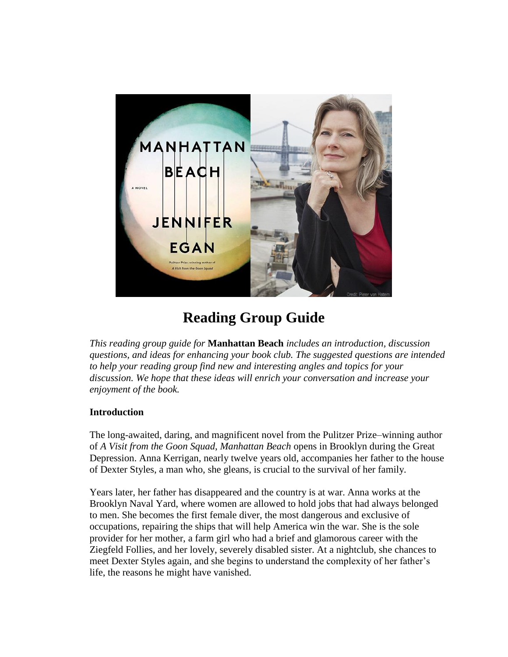

## **Reading Group Guide**

*This reading group guide for* **Manhattan Beach** *includes an introduction, discussion questions, and ideas for enhancing your book club. The suggested questions are intended to help your reading group find new and interesting angles and topics for your discussion. We hope that these ideas will enrich your conversation and increase your enjoyment of the book.*

## **Introduction**

The long-awaited, daring, and magnificent novel from the Pulitzer Prize–winning author of *A Visit from the Goon Squad*, *Manhattan Beach* opens in Brooklyn during the Great Depression. Anna Kerrigan, nearly twelve years old, accompanies her father to the house of Dexter Styles, a man who, she gleans, is crucial to the survival of her family.

Years later, her father has disappeared and the country is at war. Anna works at the Brooklyn Naval Yard, where women are allowed to hold jobs that had always belonged to men. She becomes the first female diver, the most dangerous and exclusive of occupations, repairing the ships that will help America win the war. She is the sole provider for her mother, a farm girl who had a brief and glamorous career with the Ziegfeld Follies, and her lovely, severely disabled sister. At a nightclub, she chances to meet Dexter Styles again, and she begins to understand the complexity of her father's life, the reasons he might have vanished.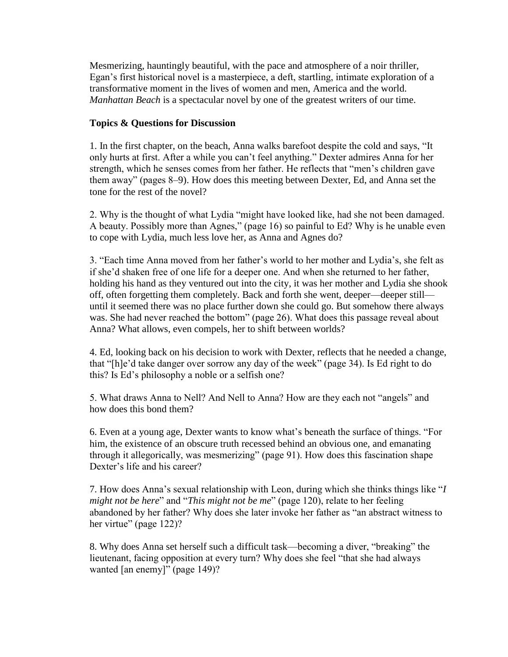Mesmerizing, hauntingly beautiful, with the pace and atmosphere of a noir thriller, Egan's first historical novel is a masterpiece, a deft, startling, intimate exploration of a transformative moment in the lives of women and men, America and the world. *Manhattan Beach* is a spectacular novel by one of the greatest writers of our time.

## **Topics & Questions for Discussion**

1. In the first chapter, on the beach, Anna walks barefoot despite the cold and says, "It only hurts at first. After a while you can't feel anything." Dexter admires Anna for her strength, which he senses comes from her father. He reflects that "men's children gave them away" (pages 8–9). How does this meeting between Dexter, Ed, and Anna set the tone for the rest of the novel?

2. Why is the thought of what Lydia "might have looked like, had she not been damaged. A beauty. Possibly more than Agnes," (page 16) so painful to Ed? Why is he unable even to cope with Lydia, much less love her, as Anna and Agnes do?

3. "Each time Anna moved from her father's world to her mother and Lydia's, she felt as if she'd shaken free of one life for a deeper one. And when she returned to her father, holding his hand as they ventured out into the city, it was her mother and Lydia she shook off, often forgetting them completely. Back and forth she went, deeper—deeper still until it seemed there was no place further down she could go. But somehow there always was. She had never reached the bottom" (page 26). What does this passage reveal about Anna? What allows, even compels, her to shift between worlds?

4. Ed, looking back on his decision to work with Dexter, reflects that he needed a change, that "[h]e'd take danger over sorrow any day of the week" (page 34). Is Ed right to do this? Is Ed's philosophy a noble or a selfish one?

5. What draws Anna to Nell? And Nell to Anna? How are they each not "angels" and how does this bond them?

6. Even at a young age, Dexter wants to know what's beneath the surface of things. "For him, the existence of an obscure truth recessed behind an obvious one, and emanating through it allegorically, was mesmerizing" (page 91). How does this fascination shape Dexter's life and his career?

7. How does Anna's sexual relationship with Leon, during which she thinks things like "*I might not be here*" and "*This might not be me*" (page 120), relate to her feeling abandoned by her father? Why does she later invoke her father as "an abstract witness to her virtue" (page 122)?

8. Why does Anna set herself such a difficult task—becoming a diver, "breaking" the lieutenant, facing opposition at every turn? Why does she feel "that she had always wanted [an enemy]" (page 149)?